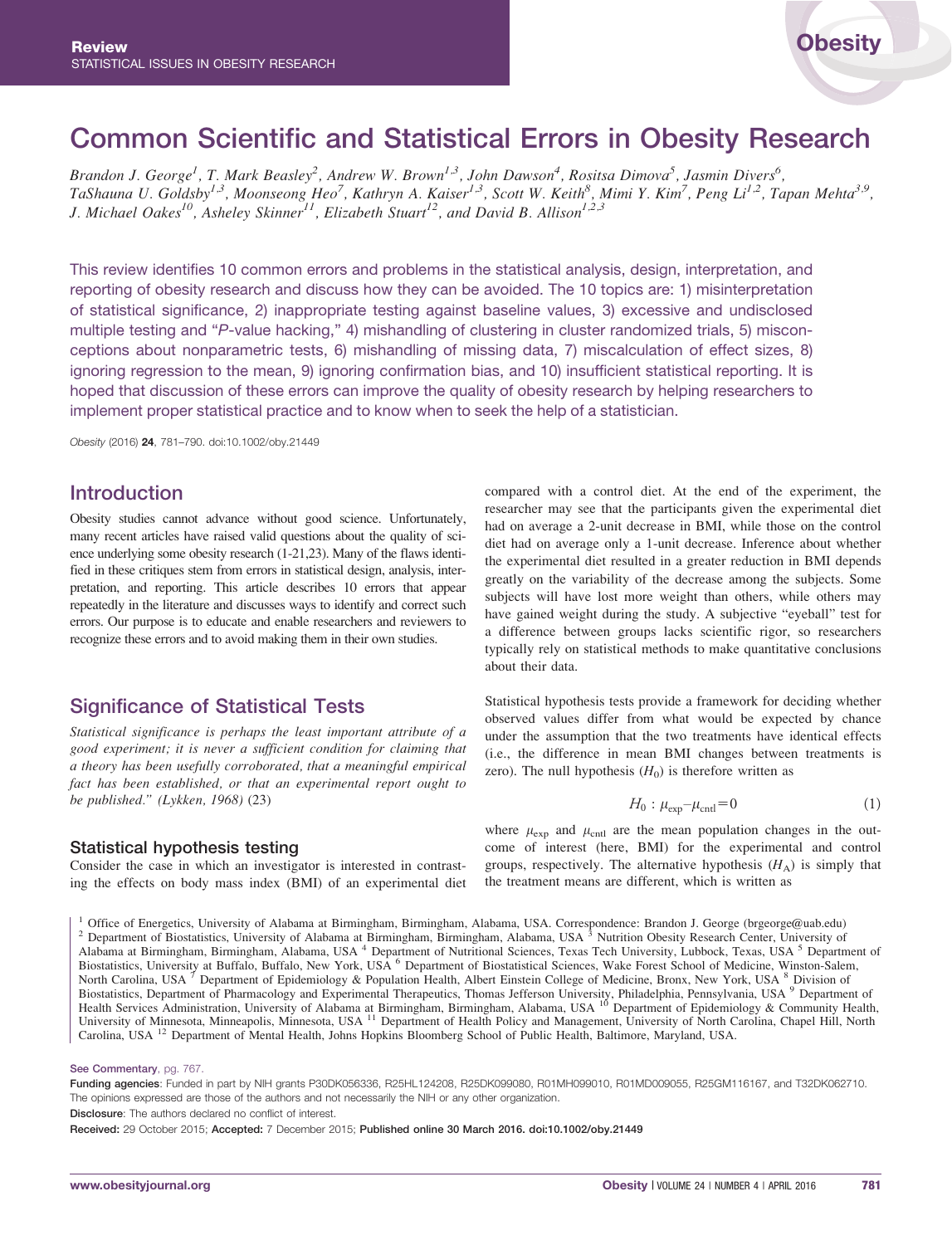# Common Scientific and Statistical Errors in Obesity Research

Brandon J. George<sup>1</sup>, T. Mark Beasley<sup>2</sup>, Andrew W. Brown<sup>1,3</sup>, John Dawson<sup>4</sup>, Rositsa Dimova<sup>5</sup>, Jasmin Divers<sup>6</sup>, TaShauna U. Goldsby<sup>1,3</sup>, Moonseong Heo<sup>7</sup>, Kathryn A. Kaiser<sup>1,3</sup>, Scott W. Keith<sup>8</sup>, Mimi Y. Kim<sup>7</sup>, Peng Li<sup>1,2</sup>, Tapan Mehta<sup>3,9</sup>, J. Michael Oakes<sup>10</sup>, Asheley Skinner<sup>11</sup>, Elizabeth Stuart<sup>12</sup>, and David B. Allison<sup>1,2,3</sup>

This review identifies 10 common errors and problems in the statistical analysis, design, interpretation, and reporting of obesity research and discuss how they can be avoided. The 10 topics are: 1) misinterpretation of statistical significance, 2) inappropriate testing against baseline values, 3) excessive and undisclosed multiple testing and "P-value hacking," 4) mishandling of clustering in cluster randomized trials, 5) misconceptions about nonparametric tests, 6) mishandling of missing data, 7) miscalculation of effect sizes, 8) ignoring regression to the mean, 9) ignoring confirmation bias, and 10) insufficient statistical reporting. It is hoped that discussion of these errors can improve the quality of obesity research by helping researchers to implement proper statistical practice and to know when to seek the help of a statistician.

Obesity (2016) 24, 781–790. doi:10.1002/oby.21449

#### Introduction

Obesity studies cannot advance without good science. Unfortunately, many recent articles have raised valid questions about the quality of science underlying some obesity research (1-21,23). Many of the flaws identified in these critiques stem from errors in statistical design, analysis, interpretation, and reporting. This article describes 10 errors that appear repeatedly in the literature and discusses ways to identify and correct such errors. Our purpose is to educate and enable researchers and reviewers to recognize these errors and to avoid making them in their own studies.

#### Significance of Statistical Tests

Statistical significance is perhaps the least important attribute of a good experiment; it is never a sufficient condition for claiming that a theory has been usefully corroborated, that a meaningful empirical fact has been established, or that an experimental report ought to be published." (Lykken, 1968) (23)

#### Statistical hypothesis testing

Consider the case in which an investigator is interested in contrasting the effects on body mass index (BMI) of an experimental diet

compared with a control diet. At the end of the experiment, the researcher may see that the participants given the experimental diet had on average a 2-unit decrease in BMI, while those on the control diet had on average only a 1-unit decrease. Inference about whether the experimental diet resulted in a greater reduction in BMI depends greatly on the variability of the decrease among the subjects. Some subjects will have lost more weight than others, while others may have gained weight during the study. A subjective "eyeball" test for a difference between groups lacks scientific rigor, so researchers typically rely on statistical methods to make quantitative conclusions about their data.

Statistical hypothesis tests provide a framework for deciding whether observed values differ from what would be expected by chance under the assumption that the two treatments have identical effects (i.e., the difference in mean BMI changes between treatments is zero). The null hypothesis  $(H_0)$  is therefore written as

$$
H_0: \mu_{\rm exp} - \mu_{\rm cnt} = 0 \tag{1}
$$

where  $\mu_{\exp}$  and  $\mu_{\text{cnt}}$  are the mean population changes in the outcome of interest (here, BMI) for the experimental and control groups, respectively. The alternative hypothesis  $(H_A)$  is simply that the treatment means are different, which is written as

<sup>1</sup> Office of Energetics, University of Alabama at Birmingham, Birmingham, Alabama, USA. Correspondence: Brandon J. George (brgeorge@uab.edu) <sup>2</sup> Department of Biostatistics, University of Alabama at Birmingham, Birmingham Alabama at Birmingham, Birmingham, Alabama, USA <sup>4</sup> Department of Nutritional Sciences, Texas Tech University, Lubbock, Texas, USA <sup>5</sup> Department of Biostatistics, University at Buffalo, Buffalo, New York, USA <sup>6</sup> Department of Biostatistical Sciences, Wake Forest School of Medicine, Winston-Salem, North Carolina, USA  $^7$  Department of Epidemiology & Population Health, Albert Einstein College of Medicine, Bronx, New York, USA  $^8$  Division of Biostatistics, Department of Pharmacology and Experimental Therapeutics, Thomas Jefferson University, Philadelphia, Pennsylvania, USA 9 Department of Health Services Administration, University of Alabama at Birmingham, Birmingham, Alabama, USA <sup>16</sup> Department of Epidemiology & Community Health, University of Minnesota, Minneapolis, Minnesota, USA <sup>11</sup> Department of Health Policy and Management, University of North Carolina, Chapel Hill, North Carolina, USA <sup>12</sup> Department of Mental Health, Johns Hopkins Bloomberg School of Public Health, Baltimore, Maryland, USA.

#### See Commentary, pg. 767.

Funding agencies: Funded in part by NIH grants P30DK056336, R25HL124208, R25DK099080, R01MH099010, R01MD009055, R25GM116167, and T32DK062710. The opinions expressed are those of the authors and not necessarily the NIH or any other organization.

Disclosure: The authors declared no conflict of interest.

Received: 29 October 2015; Accepted: 7 December 2015; Published online 30 March 2016. doi:10.1002/oby.21449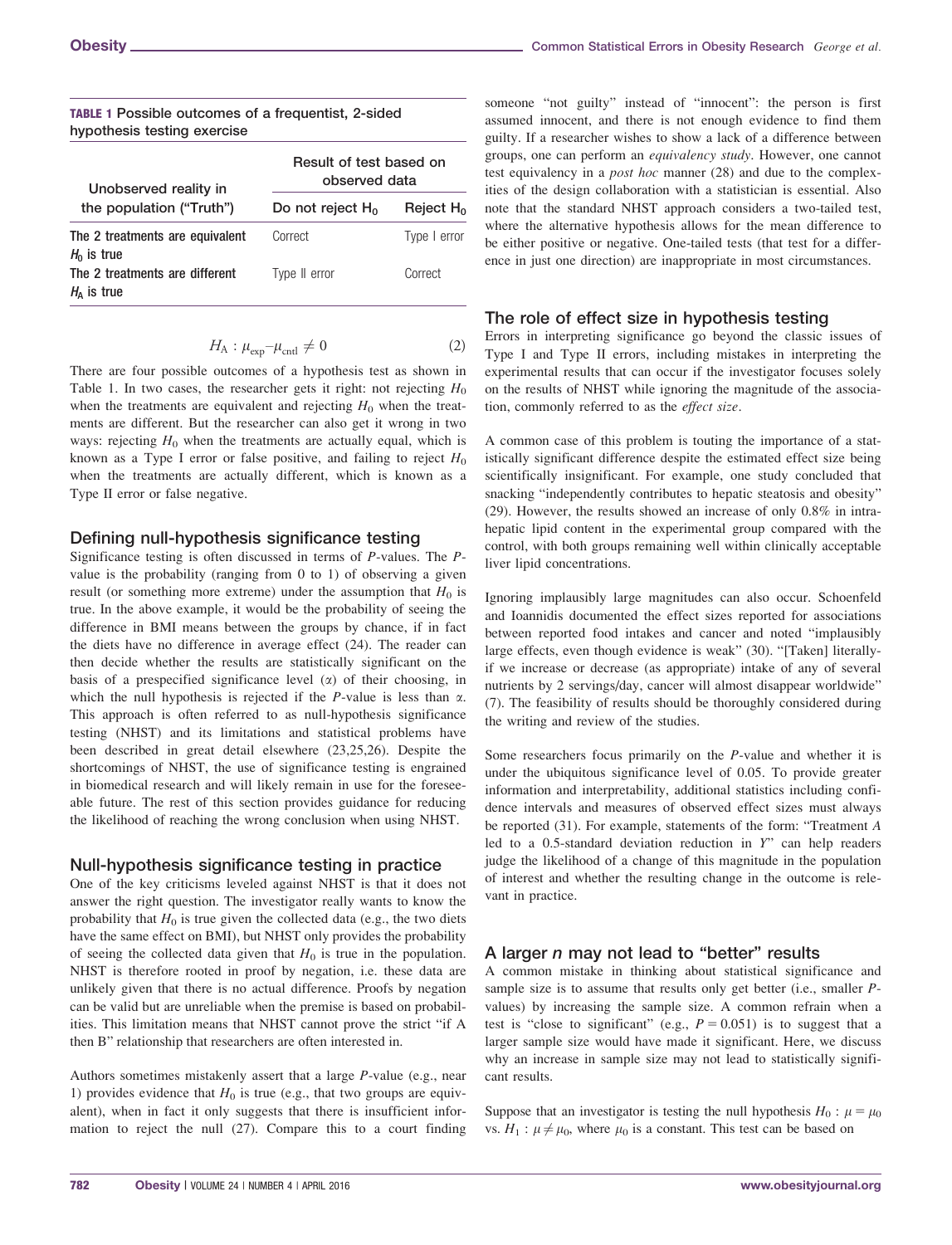| <b>TABLE 1 Possible outcomes of a frequentist, 2-sided</b> |  |
|------------------------------------------------------------|--|
| hypothesis testing exercise                                |  |

| Unobserved reality in                                                     | Result of test based on<br>observed data |              |
|---------------------------------------------------------------------------|------------------------------------------|--------------|
| the population ("Truth")                                                  | Do not reject $H_0$                      | Reject $H_0$ |
| The 2 treatments are equivalent<br>$H_0$ is true                          | Correct                                  | Type I error |
| The 2 treatments are different<br>$H_{\scriptscriptstyle\Lambda}$ is true | Type II error                            | Correct      |

$$
H_A: \mu_{\exp} - \mu_{\rm cntl} \neq 0 \tag{2}
$$

There are four possible outcomes of a hypothesis test as shown in Table 1. In two cases, the researcher gets it right: not rejecting  $H_0$ when the treatments are equivalent and rejecting  $H_0$  when the treatments are different. But the researcher can also get it wrong in two ways: rejecting  $H_0$  when the treatments are actually equal, which is known as a Type I error or false positive, and failing to reject  $H_0$ when the treatments are actually different, which is known as a Type II error or false negative.

#### Defining null-hypothesis significance testing

Significance testing is often discussed in terms of P-values. The Pvalue is the probability (ranging from 0 to 1) of observing a given result (or something more extreme) under the assumption that  $H_0$  is true. In the above example, it would be the probability of seeing the difference in BMI means between the groups by chance, if in fact the diets have no difference in average effect (24). The reader can then decide whether the results are statistically significant on the basis of a prespecified significance level  $(\alpha)$  of their choosing, in which the null hypothesis is rejected if the  $P$ -value is less than  $\alpha$ . This approach is often referred to as null-hypothesis significance testing (NHST) and its limitations and statistical problems have been described in great detail elsewhere (23,25,26). Despite the shortcomings of NHST, the use of significance testing is engrained in biomedical research and will likely remain in use for the foreseeable future. The rest of this section provides guidance for reducing the likelihood of reaching the wrong conclusion when using NHST.

#### Null-hypothesis significance testing in practice

One of the key criticisms leveled against NHST is that it does not answer the right question. The investigator really wants to know the probability that  $H_0$  is true given the collected data (e.g., the two diets have the same effect on BMI), but NHST only provides the probability of seeing the collected data given that  $H_0$  is true in the population. NHST is therefore rooted in proof by negation, i.e. these data are unlikely given that there is no actual difference. Proofs by negation can be valid but are unreliable when the premise is based on probabilities. This limitation means that NHST cannot prove the strict "if A then B" relationship that researchers are often interested in.

Authors sometimes mistakenly assert that a large P-value (e.g., near 1) provides evidence that  $H_0$  is true (e.g., that two groups are equivalent), when in fact it only suggests that there is insufficient information to reject the null (27). Compare this to a court finding

someone "not guilty" instead of "innocent": the person is first assumed innocent, and there is not enough evidence to find them guilty. If a researcher wishes to show a lack of a difference between groups, one can perform an equivalency study. However, one cannot test equivalency in a post hoc manner (28) and due to the complexities of the design collaboration with a statistician is essential. Also note that the standard NHST approach considers a two-tailed test, where the alternative hypothesis allows for the mean difference to be either positive or negative. One-tailed tests (that test for a difference in just one direction) are inappropriate in most circumstances.

#### The role of effect size in hypothesis testing

Errors in interpreting significance go beyond the classic issues of Type I and Type II errors, including mistakes in interpreting the experimental results that can occur if the investigator focuses solely on the results of NHST while ignoring the magnitude of the association, commonly referred to as the effect size.

A common case of this problem is touting the importance of a statistically significant difference despite the estimated effect size being scientifically insignificant. For example, one study concluded that snacking "independently contributes to hepatic steatosis and obesity" (29). However, the results showed an increase of only 0.8% in intrahepatic lipid content in the experimental group compared with the control, with both groups remaining well within clinically acceptable liver lipid concentrations.

Ignoring implausibly large magnitudes can also occur. Schoenfeld and Ioannidis documented the effect sizes reported for associations between reported food intakes and cancer and noted "implausibly large effects, even though evidence is weak" (30). "[Taken] literallyif we increase or decrease (as appropriate) intake of any of several nutrients by 2 servings/day, cancer will almost disappear worldwide" (7). The feasibility of results should be thoroughly considered during the writing and review of the studies.

Some researchers focus primarily on the P-value and whether it is under the ubiquitous significance level of 0.05. To provide greater information and interpretability, additional statistics including confidence intervals and measures of observed effect sizes must always be reported (31). For example, statements of the form: "Treatment A led to a 0.5-standard deviation reduction in Y" can help readers judge the likelihood of a change of this magnitude in the population of interest and whether the resulting change in the outcome is relevant in practice.

#### A larger n may not lead to "better" results

A common mistake in thinking about statistical significance and sample size is to assume that results only get better (i.e., smaller Pvalues) by increasing the sample size. A common refrain when a test is "close to significant" (e.g.,  $P = 0.051$ ) is to suggest that a larger sample size would have made it significant. Here, we discuss why an increase in sample size may not lead to statistically significant results.

Suppose that an investigator is testing the null hypothesis  $H_0$ :  $\mu = \mu_0$ vs.  $H_1$ :  $\mu \neq \mu_0$ , where  $\mu_0$  is a constant. This test can be based on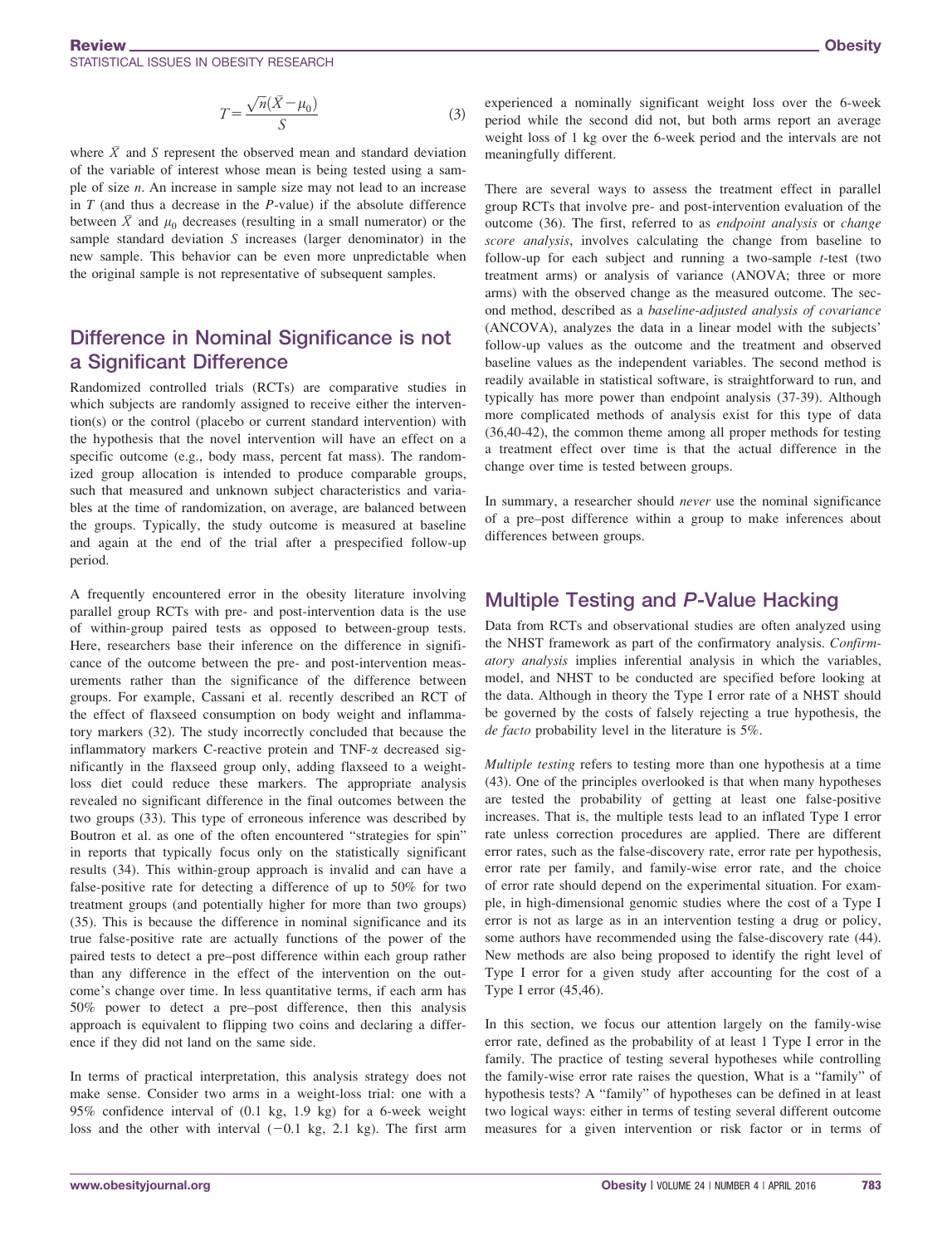$$
T = \frac{\sqrt{n}(\bar{X} - \mu_0)}{S} \tag{3}
$$

where  $\bar{X}$  and S represent the observed mean and standard deviation of the variable of interest whose mean is being tested using a sample of size n. An increase in sample size may not lead to an increase in  $T$  (and thus a decrease in the  $P$ -value) if the absolute difference between  $\bar{X}$  and  $\mu_0$  decreases (resulting in a small numerator) or the sample standard deviation S increases (larger denominator) in the new sample. This behavior can be even more unpredictable when the original sample is not representative of subsequent samples.

### Difference in Nominal Significance is not a Significant Difference

Randomized controlled trials (RCTs) are comparative studies in which subjects are randomly assigned to receive either the intervention(s) or the control (placebo or current standard intervention) with the hypothesis that the novel intervention will have an effect on a specific outcome (e.g., body mass, percent fat mass). The randomized group allocation is intended to produce comparable groups, such that measured and unknown subject characteristics and variables at the time of randomization, on average, are balanced between the groups. Typically, the study outcome is measured at baseline and again at the end of the trial after a prespecified follow-up period.

A frequently encountered error in the obesity literature involving parallel group RCTs with pre- and post-intervention data is the use of within-group paired tests as opposed to between-group tests. Here, researchers base their inference on the difference in significance of the outcome between the pre- and post-intervention measurements rather than the significance of the difference between groups. For example, Cassani et al. recently described an RCT of the effect of flaxseed consumption on body weight and inflammatory markers (32). The study incorrectly concluded that because the inflammatory markers C-reactive protein and  $TNF-\alpha$  decreased significantly in the flaxseed group only, adding flaxseed to a weightloss diet could reduce these markers. The appropriate analysis revealed no significant difference in the final outcomes between the two groups (33). This type of erroneous inference was described by Boutron et al. as one of the often encountered "strategies for spin" in reports that typically focus only on the statistically significant results (34). This within-group approach is invalid and can have a false-positive rate for detecting a difference of up to 50% for two treatment groups (and potentially higher for more than two groups) (35). This is because the difference in nominal significance and its true false-positive rate are actually functions of the power of the paired tests to detect a pre–post difference within each group rather than any difference in the effect of the intervention on the outcome's change over time. In less quantitative terms, if each arm has 50% power to detect a pre–post difference, then this analysis approach is equivalent to flipping two coins and declaring a difference if they did not land on the same side.

In terms of practical interpretation, this analysis strategy does not make sense. Consider two arms in a weight-loss trial: one with a 95% confidence interval of (0.1 kg, 1.9 kg) for a 6-week weight loss and the other with interval  $(-0.1 \text{ kg}, 2.1 \text{ kg})$ . The first arm

experienced a nominally significant weight loss over the 6-week period while the second did not, but both arms report an average weight loss of 1 kg over the 6-week period and the intervals are not meaningfully different.

There are several ways to assess the treatment effect in parallel group RCTs that involve pre- and post-intervention evaluation of the outcome (36). The first, referred to as endpoint analysis or change score analysis, involves calculating the change from baseline to follow-up for each subject and running a two-sample t-test (two treatment arms) or analysis of variance (ANOVA; three or more arms) with the observed change as the measured outcome. The second method, described as a baseline-adjusted analysis of covariance (ANCOVA), analyzes the data in a linear model with the subjects' follow-up values as the outcome and the treatment and observed baseline values as the independent variables. The second method is readily available in statistical software, is straightforward to run, and typically has more power than endpoint analysis (37-39). Although more complicated methods of analysis exist for this type of data (36,40-42), the common theme among all proper methods for testing a treatment effect over time is that the actual difference in the change over time is tested between groups.

In summary, a researcher should never use the nominal significance of a pre–post difference within a group to make inferences about differences between groups.

### Multiple Testing and P-Value Hacking

Data from RCTs and observational studies are often analyzed using the NHST framework as part of the confirmatory analysis. Confirmatory analysis implies inferential analysis in which the variables, model, and NHST to be conducted are specified before looking at the data. Although in theory the Type I error rate of a NHST should be governed by the costs of falsely rejecting a true hypothesis, the de facto probability level in the literature is 5%.

Multiple testing refers to testing more than one hypothesis at a time (43). One of the principles overlooked is that when many hypotheses are tested the probability of getting at least one false-positive increases. That is, the multiple tests lead to an inflated Type I error rate unless correction procedures are applied. There are different error rates, such as the false-discovery rate, error rate per hypothesis, error rate per family, and family-wise error rate, and the choice of error rate should depend on the experimental situation. For example, in high-dimensional genomic studies where the cost of a Type I error is not as large as in an intervention testing a drug or policy, some authors have recommended using the false-discovery rate (44). New methods are also being proposed to identify the right level of Type I error for a given study after accounting for the cost of a Type I error (45,46).

In this section, we focus our attention largely on the family-wise error rate, defined as the probability of at least 1 Type I error in the family. The practice of testing several hypotheses while controlling the family-wise error rate raises the question, What is a "family" of hypothesis tests? A "family" of hypotheses can be defined in at least two logical ways: either in terms of testing several different outcome measures for a given intervention or risk factor or in terms of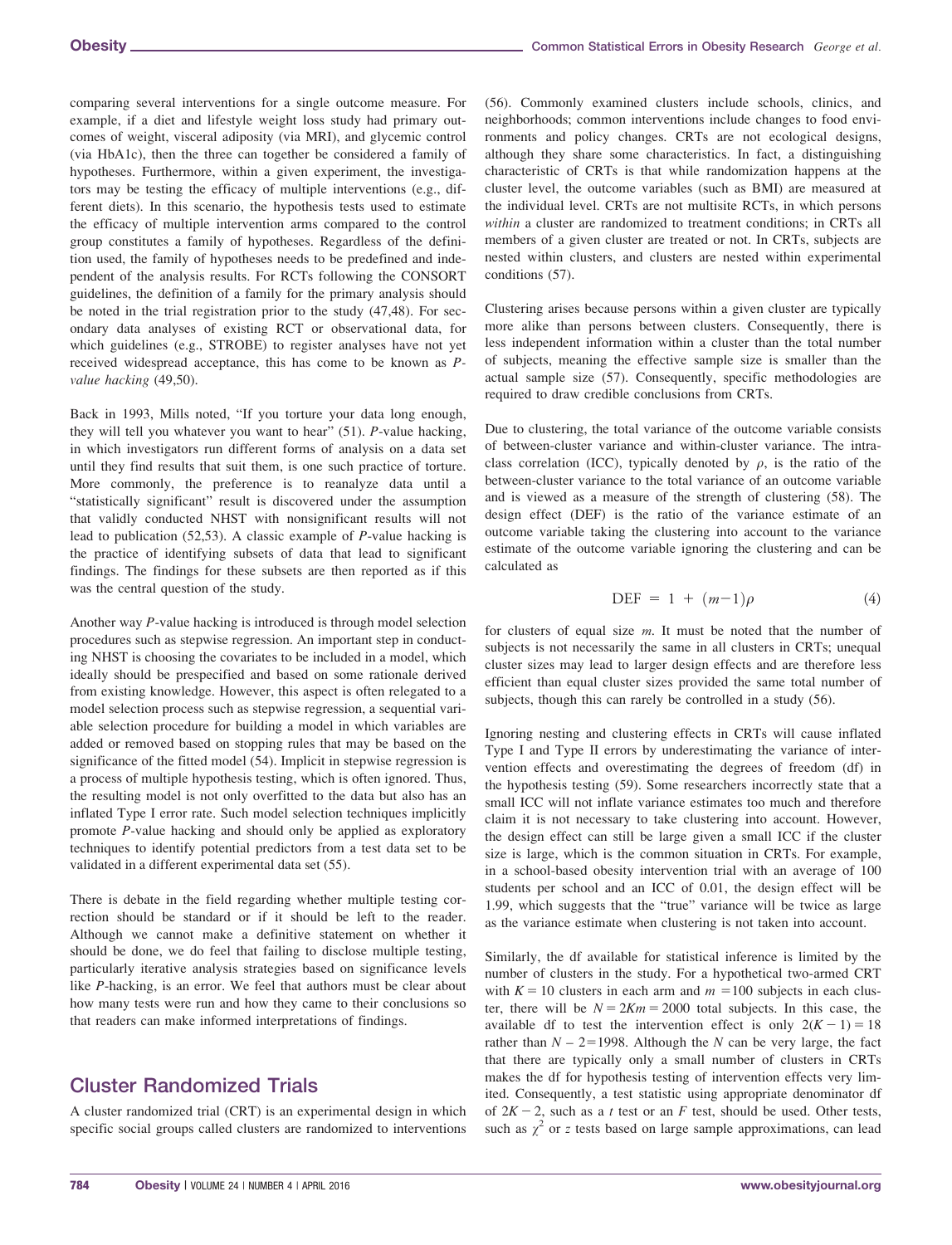comparing several interventions for a single outcome measure. For example, if a diet and lifestyle weight loss study had primary outcomes of weight, visceral adiposity (via MRI), and glycemic control (via HbA1c), then the three can together be considered a family of hypotheses. Furthermore, within a given experiment, the investigators may be testing the efficacy of multiple interventions (e.g., different diets). In this scenario, the hypothesis tests used to estimate the efficacy of multiple intervention arms compared to the control group constitutes a family of hypotheses. Regardless of the definition used, the family of hypotheses needs to be predefined and independent of the analysis results. For RCTs following the CONSORT guidelines, the definition of a family for the primary analysis should be noted in the trial registration prior to the study (47,48). For secondary data analyses of existing RCT or observational data, for which guidelines (e.g., STROBE) to register analyses have not yet received widespread acceptance, this has come to be known as Pvalue hacking (49,50).

Back in 1993, Mills noted, "If you torture your data long enough, they will tell you whatever you want to hear" (51). P-value hacking, in which investigators run different forms of analysis on a data set until they find results that suit them, is one such practice of torture. More commonly, the preference is to reanalyze data until a "statistically significant" result is discovered under the assumption that validly conducted NHST with nonsignificant results will not lead to publication (52,53). A classic example of P-value hacking is the practice of identifying subsets of data that lead to significant findings. The findings for these subsets are then reported as if this was the central question of the study.

Another way P-value hacking is introduced is through model selection procedures such as stepwise regression. An important step in conducting NHST is choosing the covariates to be included in a model, which ideally should be prespecified and based on some rationale derived from existing knowledge. However, this aspect is often relegated to a model selection process such as stepwise regression, a sequential variable selection procedure for building a model in which variables are added or removed based on stopping rules that may be based on the significance of the fitted model (54). Implicit in stepwise regression is a process of multiple hypothesis testing, which is often ignored. Thus, the resulting model is not only overfitted to the data but also has an inflated Type I error rate. Such model selection techniques implicitly promote P-value hacking and should only be applied as exploratory techniques to identify potential predictors from a test data set to be validated in a different experimental data set (55).

There is debate in the field regarding whether multiple testing correction should be standard or if it should be left to the reader. Although we cannot make a definitive statement on whether it should be done, we do feel that failing to disclose multiple testing, particularly iterative analysis strategies based on significance levels like P-hacking, is an error. We feel that authors must be clear about how many tests were run and how they came to their conclusions so that readers can make informed interpretations of findings.

### Cluster Randomized Trials

A cluster randomized trial (CRT) is an experimental design in which specific social groups called clusters are randomized to interventions (56). Commonly examined clusters include schools, clinics, and neighborhoods; common interventions include changes to food environments and policy changes. CRTs are not ecological designs, although they share some characteristics. In fact, a distinguishing characteristic of CRTs is that while randomization happens at the cluster level, the outcome variables (such as BMI) are measured at the individual level. CRTs are not multisite RCTs, in which persons within a cluster are randomized to treatment conditions; in CRTs all members of a given cluster are treated or not. In CRTs, subjects are nested within clusters, and clusters are nested within experimental conditions (57).

Clustering arises because persons within a given cluster are typically more alike than persons between clusters. Consequently, there is less independent information within a cluster than the total number of subjects, meaning the effective sample size is smaller than the actual sample size (57). Consequently, specific methodologies are required to draw credible conclusions from CRTs.

Due to clustering, the total variance of the outcome variable consists of between-cluster variance and within-cluster variance. The intraclass correlation (ICC), typically denoted by  $\rho$ , is the ratio of the between-cluster variance to the total variance of an outcome variable and is viewed as a measure of the strength of clustering (58). The design effect (DEF) is the ratio of the variance estimate of an outcome variable taking the clustering into account to the variance estimate of the outcome variable ignoring the clustering and can be calculated as

$$
DEF = 1 + (m-1)\rho \tag{4}
$$

for clusters of equal size  $m$ . It must be noted that the number of subjects is not necessarily the same in all clusters in CRTs; unequal cluster sizes may lead to larger design effects and are therefore less efficient than equal cluster sizes provided the same total number of subjects, though this can rarely be controlled in a study (56).

Ignoring nesting and clustering effects in CRTs will cause inflated Type I and Type II errors by underestimating the variance of intervention effects and overestimating the degrees of freedom (df) in the hypothesis testing (59). Some researchers incorrectly state that a small ICC will not inflate variance estimates too much and therefore claim it is not necessary to take clustering into account. However, the design effect can still be large given a small ICC if the cluster size is large, which is the common situation in CRTs. For example, in a school-based obesity intervention trial with an average of 100 students per school and an ICC of 0.01, the design effect will be 1.99, which suggests that the "true" variance will be twice as large as the variance estimate when clustering is not taken into account.

Similarly, the df available for statistical inference is limited by the number of clusters in the study. For a hypothetical two-armed CRT with  $K = 10$  clusters in each arm and  $m = 100$  subjects in each cluster, there will be  $N = 2Km = 2000$  total subjects. In this case, the available df to test the intervention effect is only  $2(K - 1) = 18$ rather than  $N - 2 = 1998$ . Although the N can be very large, the fact that there are typically only a small number of clusters in CRTs makes the df for hypothesis testing of intervention effects very limited. Consequently, a test statistic using appropriate denominator df of  $2K - 2$ , such as a t test or an F test, should be used. Other tests, such as  $\chi^2$  or z tests based on large sample approximations, can lead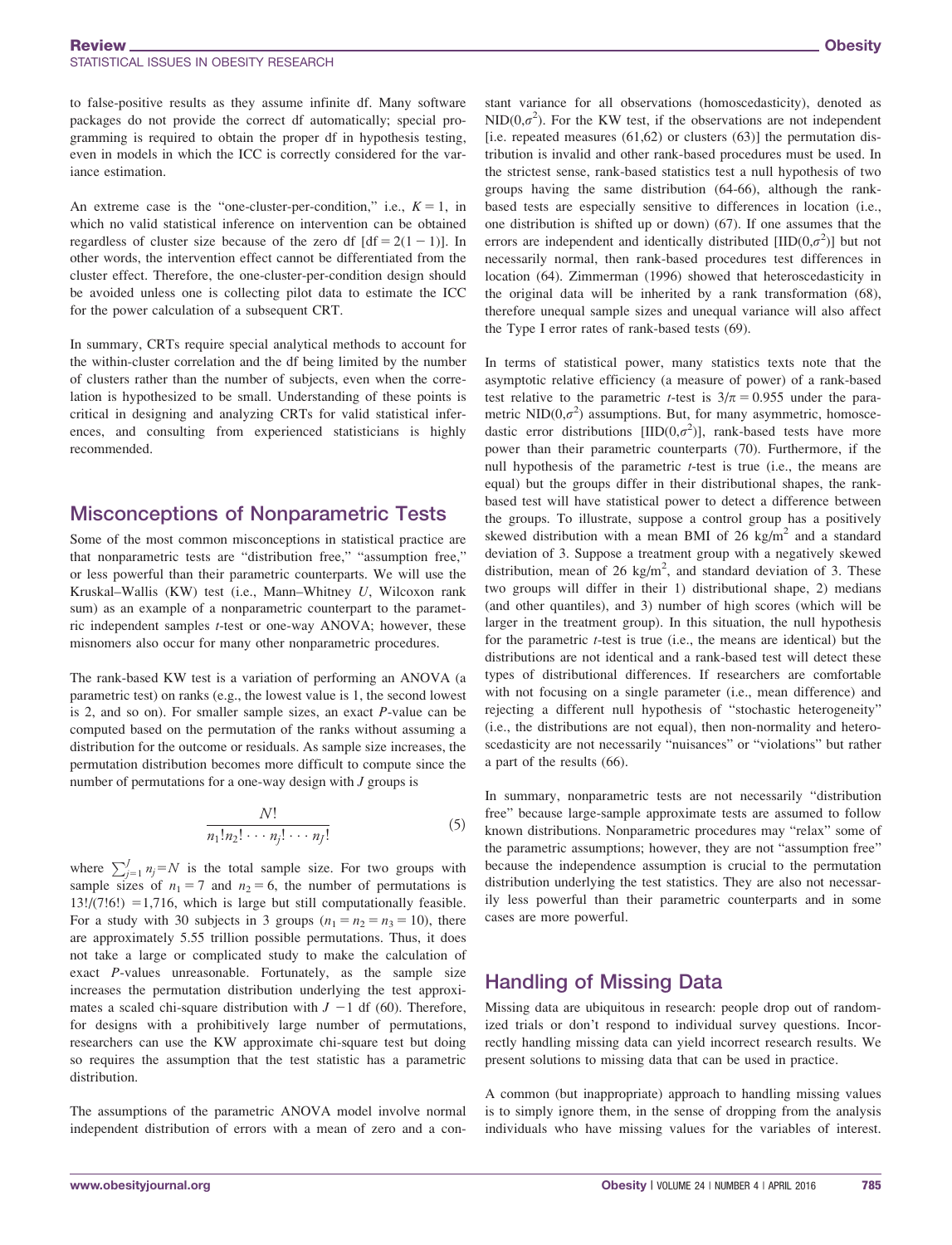to false-positive results as they assume infinite df. Many software packages do not provide the correct df automatically; special programming is required to obtain the proper df in hypothesis testing, even in models in which the ICC is correctly considered for the variance estimation.

An extreme case is the "one-cluster-per-condition," i.e.,  $K = 1$ , in which no valid statistical inference on intervention can be obtained regardless of cluster size because of the zero df  $[df = 2(1 - 1)]$ . In other words, the intervention effect cannot be differentiated from the cluster effect. Therefore, the one-cluster-per-condition design should be avoided unless one is collecting pilot data to estimate the ICC for the power calculation of a subsequent CRT.

In summary, CRTs require special analytical methods to account for the within-cluster correlation and the df being limited by the number of clusters rather than the number of subjects, even when the correlation is hypothesized to be small. Understanding of these points is critical in designing and analyzing CRTs for valid statistical inferences, and consulting from experienced statisticians is highly recommended.

#### Misconceptions of Nonparametric Tests

Some of the most common misconceptions in statistical practice are that nonparametric tests are "distribution free," "assumption free," or less powerful than their parametric counterparts. We will use the Kruskal–Wallis (KW) test (i.e., Mann–Whitney U, Wilcoxon rank sum) as an example of a nonparametric counterpart to the parametric independent samples t-test or one-way ANOVA; however, these misnomers also occur for many other nonparametric procedures.

The rank-based KW test is a variation of performing an ANOVA (a parametric test) on ranks (e.g., the lowest value is 1, the second lowest is 2, and so on). For smaller sample sizes, an exact P-value can be computed based on the permutation of the ranks without assuming a distribution for the outcome or residuals. As sample size increases, the permutation distribution becomes more difficult to compute since the number of permutations for a one-way design with  $J$  groups is

$$
\frac{N!}{n_1!n_2!\cdots n_j!\cdots n_J!}
$$
 (5)

where  $\sum_{j=1}^{J} n_j = N$  is the total sample size. For two groups with sample sizes of  $n_1 = 7$  and  $n_2 = 6$ , the number of permutations is  $13!/(7!6!) = 1,716$ , which is large but still computationally feasible. For a study with 30 subjects in 3 groups  $(n_1 = n_2 = n_3 = 10)$ , there are approximately 5.55 trillion possible permutations. Thus, it does not take a large or complicated study to make the calculation of exact P-values unreasonable. Fortunately, as the sample size increases the permutation distribution underlying the test approximates a scaled chi-square distribution with  $J -1$  df (60). Therefore, for designs with a prohibitively large number of permutations, researchers can use the KW approximate chi-square test but doing so requires the assumption that the test statistic has a parametric distribution.

The assumptions of the parametric ANOVA model involve normal independent distribution of errors with a mean of zero and a constant variance for all observations (homoscedasticity), denoted as NID( $0,\sigma^2$ ). For the KW test, if the observations are not independent [i.e. repeated measures  $(61,62)$  or clusters  $(63)$ ] the permutation distribution is invalid and other rank-based procedures must be used. In the strictest sense, rank-based statistics test a null hypothesis of two groups having the same distribution (64-66), although the rankbased tests are especially sensitive to differences in location (i.e., one distribution is shifted up or down) (67). If one assumes that the errors are independent and identically distributed  $[IID(0, \sigma^2)]$  but not necessarily normal, then rank-based procedures test differences in location (64). Zimmerman (1996) showed that heteroscedasticity in the original data will be inherited by a rank transformation (68), therefore unequal sample sizes and unequal variance will also affect the Type I error rates of rank-based tests (69).

In terms of statistical power, many statistics texts note that the asymptotic relative efficiency (a measure of power) of a rank-based test relative to the parametric *t*-test is  $3/\pi = 0.955$  under the parametric NID $(0,\sigma^2)$  assumptions. But, for many asymmetric, homoscedastic error distributions [IID( $(0, \sigma^2)$ ], rank-based tests have more power than their parametric counterparts (70). Furthermore, if the null hypothesis of the parametric *t*-test is true (i.e., the means are equal) but the groups differ in their distributional shapes, the rankbased test will have statistical power to detect a difference between the groups. To illustrate, suppose a control group has a positively skewed distribution with a mean BMI of 26 kg/m<sup>2</sup> and a standard deviation of 3. Suppose a treatment group with a negatively skewed distribution, mean of 26 kg/m<sup>2</sup>, and standard deviation of 3. These two groups will differ in their 1) distributional shape, 2) medians (and other quantiles), and 3) number of high scores (which will be larger in the treatment group). In this situation, the null hypothesis for the parametric  $t$ -test is true (i.e., the means are identical) but the distributions are not identical and a rank-based test will detect these types of distributional differences. If researchers are comfortable with not focusing on a single parameter (i.e., mean difference) and rejecting a different null hypothesis of "stochastic heterogeneity" (i.e., the distributions are not equal), then non-normality and heteroscedasticity are not necessarily "nuisances" or "violations" but rather a part of the results (66).

In summary, nonparametric tests are not necessarily "distribution free" because large-sample approximate tests are assumed to follow known distributions. Nonparametric procedures may "relax" some of the parametric assumptions; however, they are not "assumption free" because the independence assumption is crucial to the permutation distribution underlying the test statistics. They are also not necessarily less powerful than their parametric counterparts and in some cases are more powerful.

### Handling of Missing Data

Missing data are ubiquitous in research: people drop out of randomized trials or don't respond to individual survey questions. Incorrectly handling missing data can yield incorrect research results. We present solutions to missing data that can be used in practice.

A common (but inappropriate) approach to handling missing values is to simply ignore them, in the sense of dropping from the analysis individuals who have missing values for the variables of interest.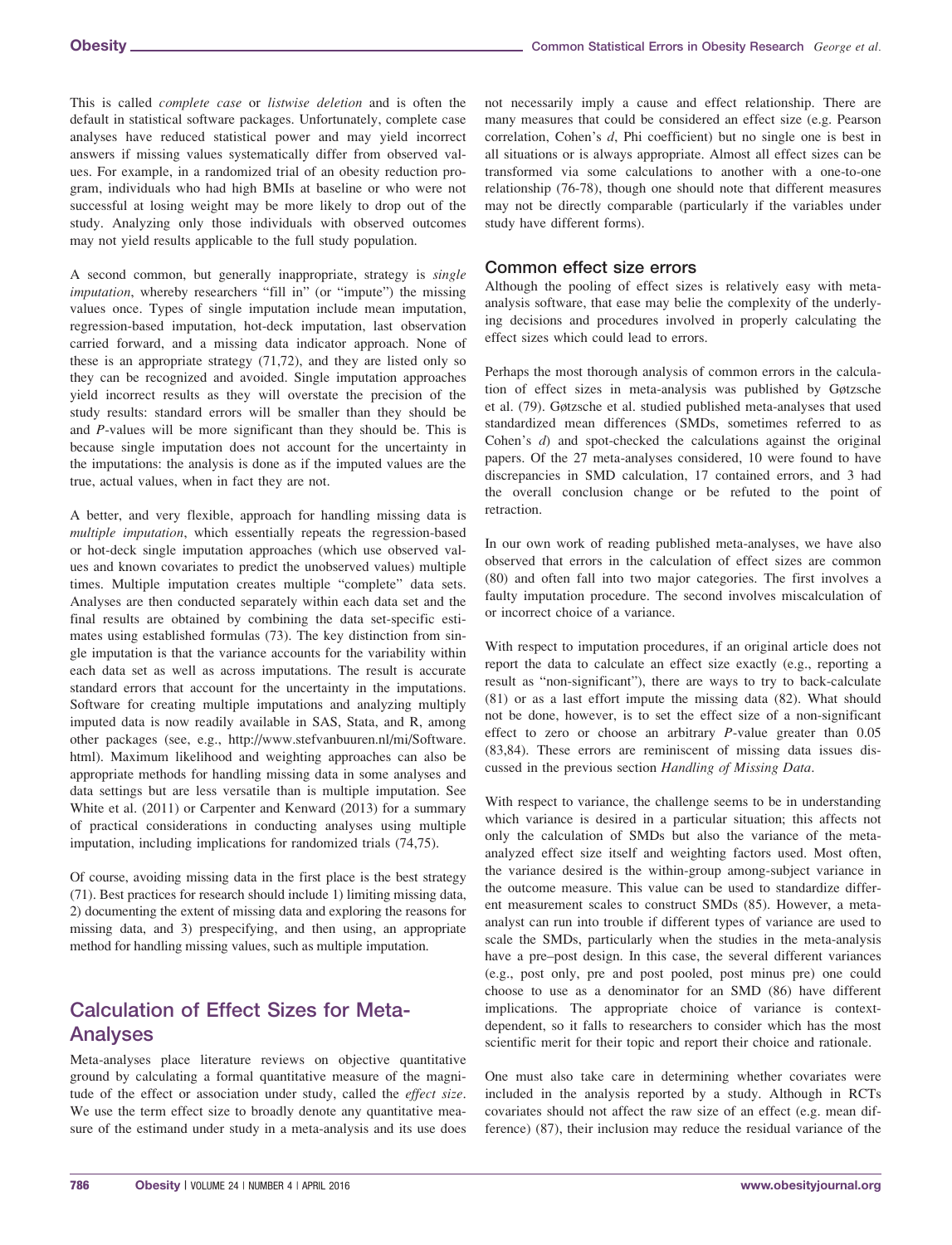This is called *complete case* or *listwise deletion* and is often the default in statistical software packages. Unfortunately, complete case analyses have reduced statistical power and may yield incorrect answers if missing values systematically differ from observed values. For example, in a randomized trial of an obesity reduction program, individuals who had high BMIs at baseline or who were not successful at losing weight may be more likely to drop out of the study. Analyzing only those individuals with observed outcomes may not yield results applicable to the full study population.

A second common, but generally inappropriate, strategy is single imputation, whereby researchers "fill in" (or "impute") the missing values once. Types of single imputation include mean imputation, regression-based imputation, hot-deck imputation, last observation carried forward, and a missing data indicator approach. None of these is an appropriate strategy (71,72), and they are listed only so they can be recognized and avoided. Single imputation approaches yield incorrect results as they will overstate the precision of the study results: standard errors will be smaller than they should be and P-values will be more significant than they should be. This is because single imputation does not account for the uncertainty in the imputations: the analysis is done as if the imputed values are the true, actual values, when in fact they are not.

A better, and very flexible, approach for handling missing data is multiple imputation, which essentially repeats the regression-based or hot-deck single imputation approaches (which use observed values and known covariates to predict the unobserved values) multiple times. Multiple imputation creates multiple "complete" data sets. Analyses are then conducted separately within each data set and the final results are obtained by combining the data set-specific estimates using established formulas (73). The key distinction from single imputation is that the variance accounts for the variability within each data set as well as across imputations. The result is accurate standard errors that account for the uncertainty in the imputations. Software for creating multiple imputations and analyzing multiply imputed data is now readily available in SAS, Stata, and R, among other packages (see, e.g., [http://www.stefvanbuuren.nl/mi/Software.](http://www.stefvanbuuren.nl/mi/Software.html) [html\)](http://www.stefvanbuuren.nl/mi/Software.html). Maximum likelihood and weighting approaches can also be appropriate methods for handling missing data in some analyses and data settings but are less versatile than is multiple imputation. See White et al. (2011) or Carpenter and Kenward (2013) for a summary of practical considerations in conducting analyses using multiple imputation, including implications for randomized trials (74,75).

Of course, avoiding missing data in the first place is the best strategy (71). Best practices for research should include 1) limiting missing data, 2) documenting the extent of missing data and exploring the reasons for missing data, and 3) prespecifying, and then using, an appropriate method for handling missing values, such as multiple imputation.

### Calculation of Effect Sizes for Meta-Analyses

Meta-analyses place literature reviews on objective quantitative ground by calculating a formal quantitative measure of the magnitude of the effect or association under study, called the effect size. We use the term effect size to broadly denote any quantitative measure of the estimand under study in a meta-analysis and its use does not necessarily imply a cause and effect relationship. There are many measures that could be considered an effect size (e.g. Pearson correlation, Cohen's d, Phi coefficient) but no single one is best in all situations or is always appropriate. Almost all effect sizes can be transformed via some calculations to another with a one-to-one relationship (76-78), though one should note that different measures may not be directly comparable (particularly if the variables under study have different forms).

#### Common effect size errors

Although the pooling of effect sizes is relatively easy with metaanalysis software, that ease may belie the complexity of the underlying decisions and procedures involved in properly calculating the effect sizes which could lead to errors.

Perhaps the most thorough analysis of common errors in the calculation of effect sizes in meta-analysis was published by Gøtzsche et al. (79). Gøtzsche et al. studied published meta-analyses that used standardized mean differences (SMDs, sometimes referred to as Cohen's d) and spot-checked the calculations against the original papers. Of the 27 meta-analyses considered, 10 were found to have discrepancies in SMD calculation, 17 contained errors, and 3 had the overall conclusion change or be refuted to the point of retraction.

In our own work of reading published meta-analyses, we have also observed that errors in the calculation of effect sizes are common (80) and often fall into two major categories. The first involves a faulty imputation procedure. The second involves miscalculation of or incorrect choice of a variance.

With respect to imputation procedures, if an original article does not report the data to calculate an effect size exactly (e.g., reporting a result as "non-significant"), there are ways to try to back-calculate (81) or as a last effort impute the missing data (82). What should not be done, however, is to set the effect size of a non-significant effect to zero or choose an arbitrary P-value greater than 0.05 (83,84). These errors are reminiscent of missing data issues discussed in the previous section Handling of Missing Data.

With respect to variance, the challenge seems to be in understanding which variance is desired in a particular situation; this affects not only the calculation of SMDs but also the variance of the metaanalyzed effect size itself and weighting factors used. Most often, the variance desired is the within-group among-subject variance in the outcome measure. This value can be used to standardize different measurement scales to construct SMDs (85). However, a metaanalyst can run into trouble if different types of variance are used to scale the SMDs, particularly when the studies in the meta-analysis have a pre–post design. In this case, the several different variances (e.g., post only, pre and post pooled, post minus pre) one could choose to use as a denominator for an SMD (86) have different implications. The appropriate choice of variance is contextdependent, so it falls to researchers to consider which has the most scientific merit for their topic and report their choice and rationale.

One must also take care in determining whether covariates were included in the analysis reported by a study. Although in RCTs covariates should not affect the raw size of an effect (e.g. mean difference) (87), their inclusion may reduce the residual variance of the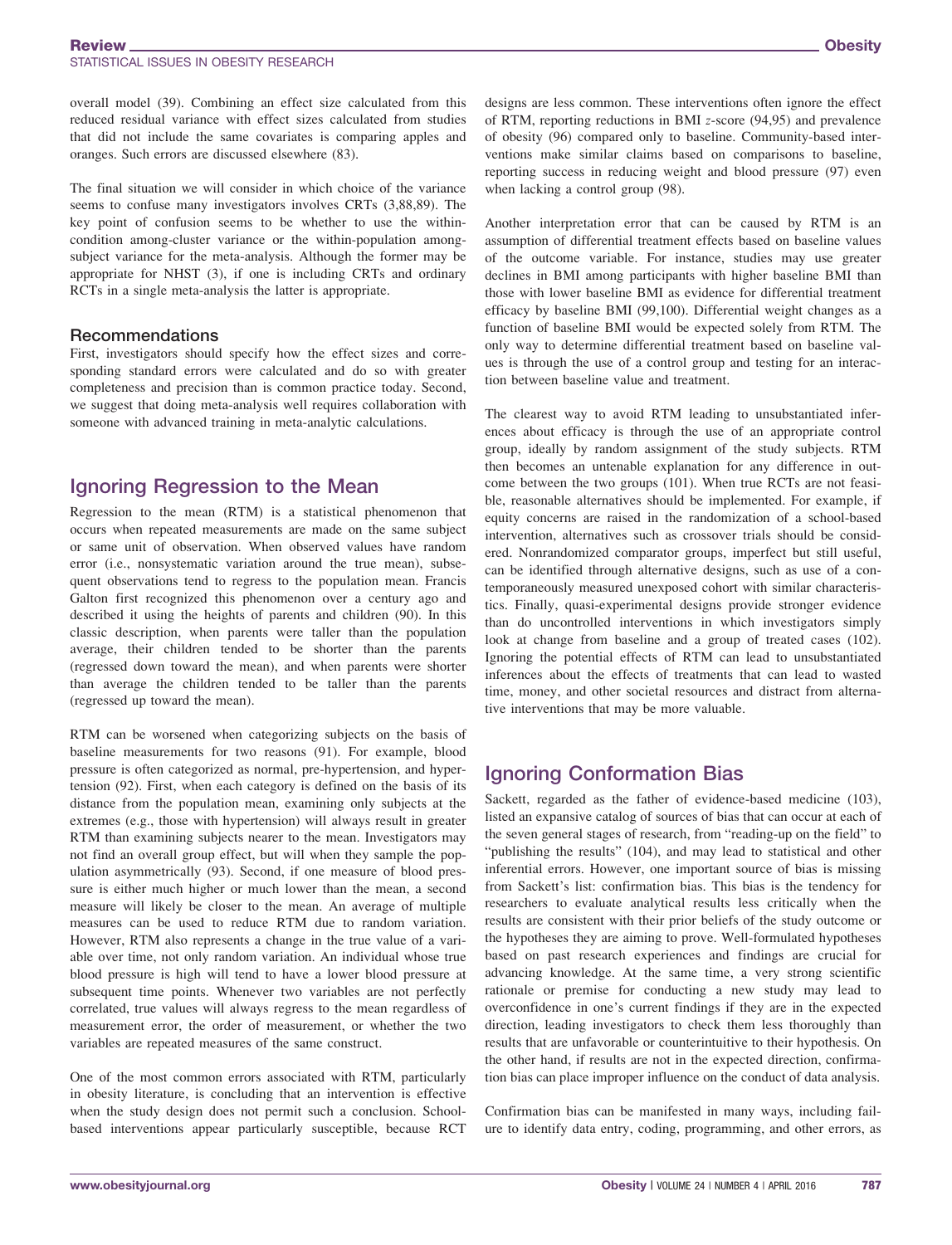overall model (39). Combining an effect size calculated from this reduced residual variance with effect sizes calculated from studies that did not include the same covariates is comparing apples and oranges. Such errors are discussed elsewhere (83).

The final situation we will consider in which choice of the variance seems to confuse many investigators involves CRTs (3,88,89). The key point of confusion seems to be whether to use the withincondition among-cluster variance or the within-population amongsubject variance for the meta-analysis. Although the former may be appropriate for NHST (3), if one is including CRTs and ordinary RCTs in a single meta-analysis the latter is appropriate.

#### Recommendations

First, investigators should specify how the effect sizes and corresponding standard errors were calculated and do so with greater completeness and precision than is common practice today. Second, we suggest that doing meta-analysis well requires collaboration with someone with advanced training in meta-analytic calculations.

### Ignoring Regression to the Mean

Regression to the mean (RTM) is a statistical phenomenon that occurs when repeated measurements are made on the same subject or same unit of observation. When observed values have random error (i.e., nonsystematic variation around the true mean), subsequent observations tend to regress to the population mean. Francis Galton first recognized this phenomenon over a century ago and described it using the heights of parents and children (90). In this classic description, when parents were taller than the population average, their children tended to be shorter than the parents (regressed down toward the mean), and when parents were shorter than average the children tended to be taller than the parents (regressed up toward the mean).

RTM can be worsened when categorizing subjects on the basis of baseline measurements for two reasons (91). For example, blood pressure is often categorized as normal, pre-hypertension, and hypertension (92). First, when each category is defined on the basis of its distance from the population mean, examining only subjects at the extremes (e.g., those with hypertension) will always result in greater RTM than examining subjects nearer to the mean. Investigators may not find an overall group effect, but will when they sample the population asymmetrically (93). Second, if one measure of blood pressure is either much higher or much lower than the mean, a second measure will likely be closer to the mean. An average of multiple measures can be used to reduce RTM due to random variation. However, RTM also represents a change in the true value of a variable over time, not only random variation. An individual whose true blood pressure is high will tend to have a lower blood pressure at subsequent time points. Whenever two variables are not perfectly correlated, true values will always regress to the mean regardless of measurement error, the order of measurement, or whether the two variables are repeated measures of the same construct.

One of the most common errors associated with RTM, particularly in obesity literature, is concluding that an intervention is effective when the study design does not permit such a conclusion. Schoolbased interventions appear particularly susceptible, because RCT designs are less common. These interventions often ignore the effect of RTM, reporting reductions in BMI z-score (94,95) and prevalence of obesity (96) compared only to baseline. Community-based interventions make similar claims based on comparisons to baseline, reporting success in reducing weight and blood pressure (97) even when lacking a control group (98).

Another interpretation error that can be caused by RTM is an assumption of differential treatment effects based on baseline values of the outcome variable. For instance, studies may use greater declines in BMI among participants with higher baseline BMI than those with lower baseline BMI as evidence for differential treatment efficacy by baseline BMI (99,100). Differential weight changes as a function of baseline BMI would be expected solely from RTM. The only way to determine differential treatment based on baseline values is through the use of a control group and testing for an interaction between baseline value and treatment.

The clearest way to avoid RTM leading to unsubstantiated inferences about efficacy is through the use of an appropriate control group, ideally by random assignment of the study subjects. RTM then becomes an untenable explanation for any difference in outcome between the two groups (101). When true RCTs are not feasible, reasonable alternatives should be implemented. For example, if equity concerns are raised in the randomization of a school-based intervention, alternatives such as crossover trials should be considered. Nonrandomized comparator groups, imperfect but still useful, can be identified through alternative designs, such as use of a contemporaneously measured unexposed cohort with similar characteristics. Finally, quasi-experimental designs provide stronger evidence than do uncontrolled interventions in which investigators simply look at change from baseline and a group of treated cases (102). Ignoring the potential effects of RTM can lead to unsubstantiated inferences about the effects of treatments that can lead to wasted time, money, and other societal resources and distract from alternative interventions that may be more valuable.

## Ignoring Conformation Bias

Sackett, regarded as the father of evidence-based medicine (103), listed an expansive catalog of sources of bias that can occur at each of the seven general stages of research, from "reading-up on the field" to "publishing the results" (104), and may lead to statistical and other inferential errors. However, one important source of bias is missing from Sackett's list: confirmation bias. This bias is the tendency for researchers to evaluate analytical results less critically when the results are consistent with their prior beliefs of the study outcome or the hypotheses they are aiming to prove. Well-formulated hypotheses based on past research experiences and findings are crucial for advancing knowledge. At the same time, a very strong scientific rationale or premise for conducting a new study may lead to overconfidence in one's current findings if they are in the expected direction, leading investigators to check them less thoroughly than results that are unfavorable or counterintuitive to their hypothesis. On the other hand, if results are not in the expected direction, confirmation bias can place improper influence on the conduct of data analysis.

Confirmation bias can be manifested in many ways, including failure to identify data entry, coding, programming, and other errors, as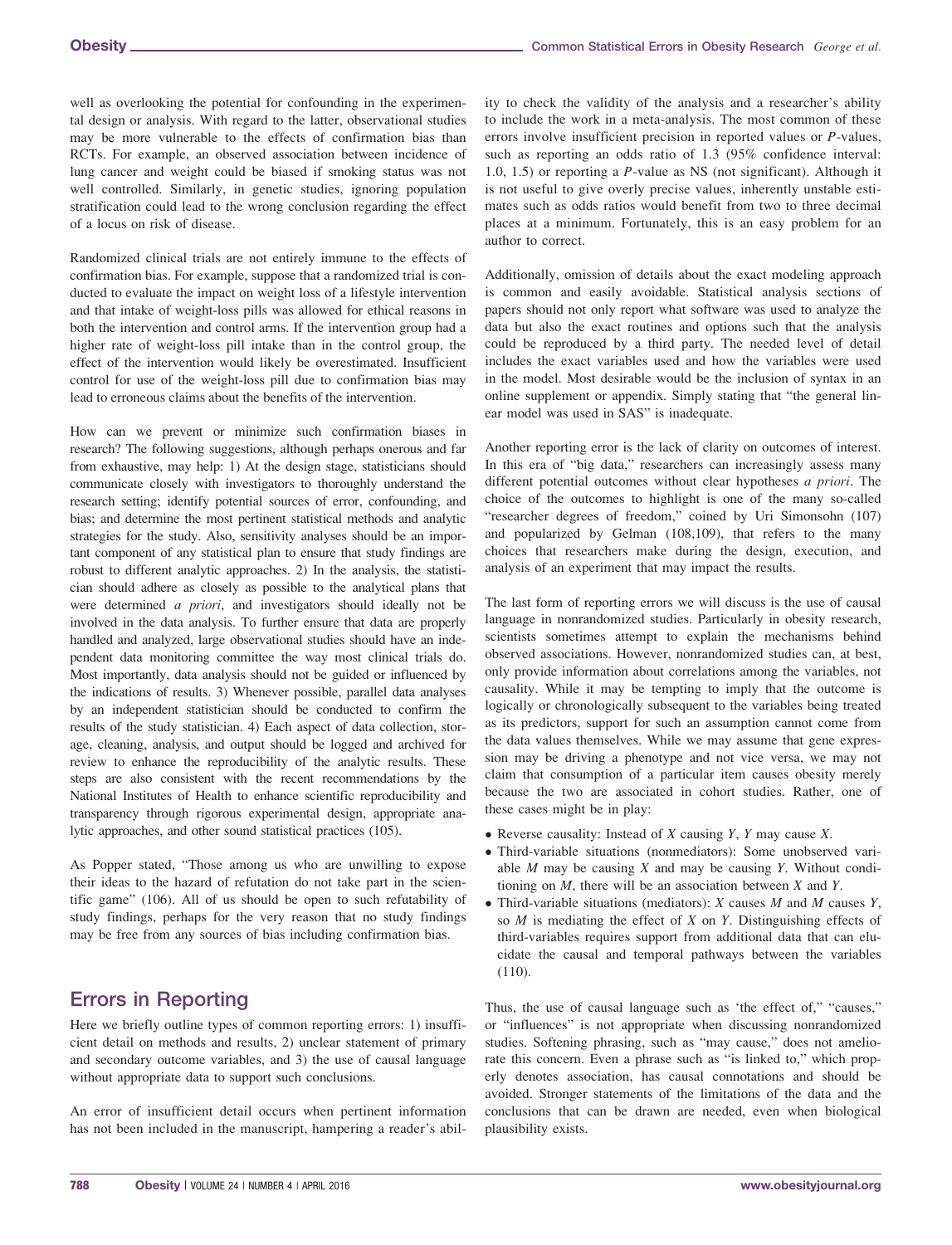well as overlooking the potential for confounding in the experimental design or analysis. With regard to the latter, observational studies may be more vulnerable to the effects of confirmation bias than RCTs. For example, an observed association between incidence of lung cancer and weight could be biased if smoking status was not well controlled. Similarly, in genetic studies, ignoring population stratification could lead to the wrong conclusion regarding the effect of a locus on risk of disease.

Randomized clinical trials are not entirely immune to the effects of confirmation bias. For example, suppose that a randomized trial is conducted to evaluate the impact on weight loss of a lifestyle intervention and that intake of weight-loss pills was allowed for ethical reasons in both the intervention and control arms. If the intervention group had a higher rate of weight-loss pill intake than in the control group, the effect of the intervention would likely be overestimated. Insufficient control for use of the weight-loss pill due to confirmation bias may lead to erroneous claims about the benefits of the intervention.

How can we prevent or minimize such confirmation biases in research? The following suggestions, although perhaps onerous and far from exhaustive, may help: 1) At the design stage, statisticians should communicate closely with investigators to thoroughly understand the research setting; identify potential sources of error, confounding, and bias; and determine the most pertinent statistical methods and analytic strategies for the study. Also, sensitivity analyses should be an important component of any statistical plan to ensure that study findings are robust to different analytic approaches. 2) In the analysis, the statistician should adhere as closely as possible to the analytical plans that were determined a priori, and investigators should ideally not be involved in the data analysis. To further ensure that data are properly handled and analyzed, large observational studies should have an independent data monitoring committee the way most clinical trials do. Most importantly, data analysis should not be guided or influenced by the indications of results. 3) Whenever possible, parallel data analyses by an independent statistician should be conducted to confirm the results of the study statistician. 4) Each aspect of data collection, storage, cleaning, analysis, and output should be logged and archived for review to enhance the reproducibility of the analytic results. These steps are also consistent with the recent recommendations by the National Institutes of Health to enhance scientific reproducibility and transparency through rigorous experimental design, appropriate analytic approaches, and other sound statistical practices (105).

As Popper stated, "Those among us who are unwilling to expose their ideas to the hazard of refutation do not take part in the scientific game" (106). All of us should be open to such refutability of study findings, perhaps for the very reason that no study findings may be free from any sources of bias including confirmation bias.

### Errors in Reporting

Here we briefly outline types of common reporting errors: 1) insufficient detail on methods and results, 2) unclear statement of primary and secondary outcome variables, and 3) the use of causal language without appropriate data to support such conclusions.

An error of insufficient detail occurs when pertinent information has not been included in the manuscript, hampering a reader's ability to check the validity of the analysis and a researcher's ability to include the work in a meta-analysis. The most common of these errors involve insufficient precision in reported values or P-values, such as reporting an odds ratio of 1.3 (95% confidence interval: 1.0, 1.5) or reporting a P-value as NS (not significant). Although it is not useful to give overly precise values, inherently unstable estimates such as odds ratios would benefit from two to three decimal places at a minimum. Fortunately, this is an easy problem for an author to correct.

Additionally, omission of details about the exact modeling approach is common and easily avoidable. Statistical analysis sections of papers should not only report what software was used to analyze the data but also the exact routines and options such that the analysis could be reproduced by a third party. The needed level of detail includes the exact variables used and how the variables were used in the model. Most desirable would be the inclusion of syntax in an online supplement or appendix. Simply stating that "the general linear model was used in SAS" is inadequate.

Another reporting error is the lack of clarity on outcomes of interest. In this era of "big data," researchers can increasingly assess many different potential outcomes without clear hypotheses a priori. The choice of the outcomes to highlight is one of the many so-called "researcher degrees of freedom," coined by Uri Simonsohn (107) and popularized by Gelman (108,109), that refers to the many choices that researchers make during the design, execution, and analysis of an experiment that may impact the results.

The last form of reporting errors we will discuss is the use of causal language in nonrandomized studies. Particularly in obesity research, scientists sometimes attempt to explain the mechanisms behind observed associations. However, nonrandomized studies can, at best, only provide information about correlations among the variables, not causality. While it may be tempting to imply that the outcome is logically or chronologically subsequent to the variables being treated as its predictors, support for such an assumption cannot come from the data values themselves. While we may assume that gene expression may be driving a phenotype and not vice versa, we may not claim that consumption of a particular item causes obesity merely because the two are associated in cohort studies. Rather, one of these cases might be in play:

- Reverse causality: Instead of  $X$  causing  $Y$ ,  $Y$  may cause  $X$ .
- Third-variable situations (nonmediators): Some unobserved variable  $M$  may be causing  $X$  and may be causing  $Y$ . Without conditioning on  $M$ , there will be an association between  $X$  and  $Y$ .
- $\bullet$  Third-variable situations (mediators): X causes M and M causes Y, so  $M$  is mediating the effect of  $X$  on  $Y$ . Distinguishing effects of third-variables requires support from additional data that can elucidate the causal and temporal pathways between the variables (110).

Thus, the use of causal language such as 'the effect of," "causes," or "influences" is not appropriate when discussing nonrandomized studies. Softening phrasing, such as "may cause," does not ameliorate this concern. Even a phrase such as "is linked to," which properly denotes association, has causal connotations and should be avoided. Stronger statements of the limitations of the data and the conclusions that can be drawn are needed, even when biological plausibility exists.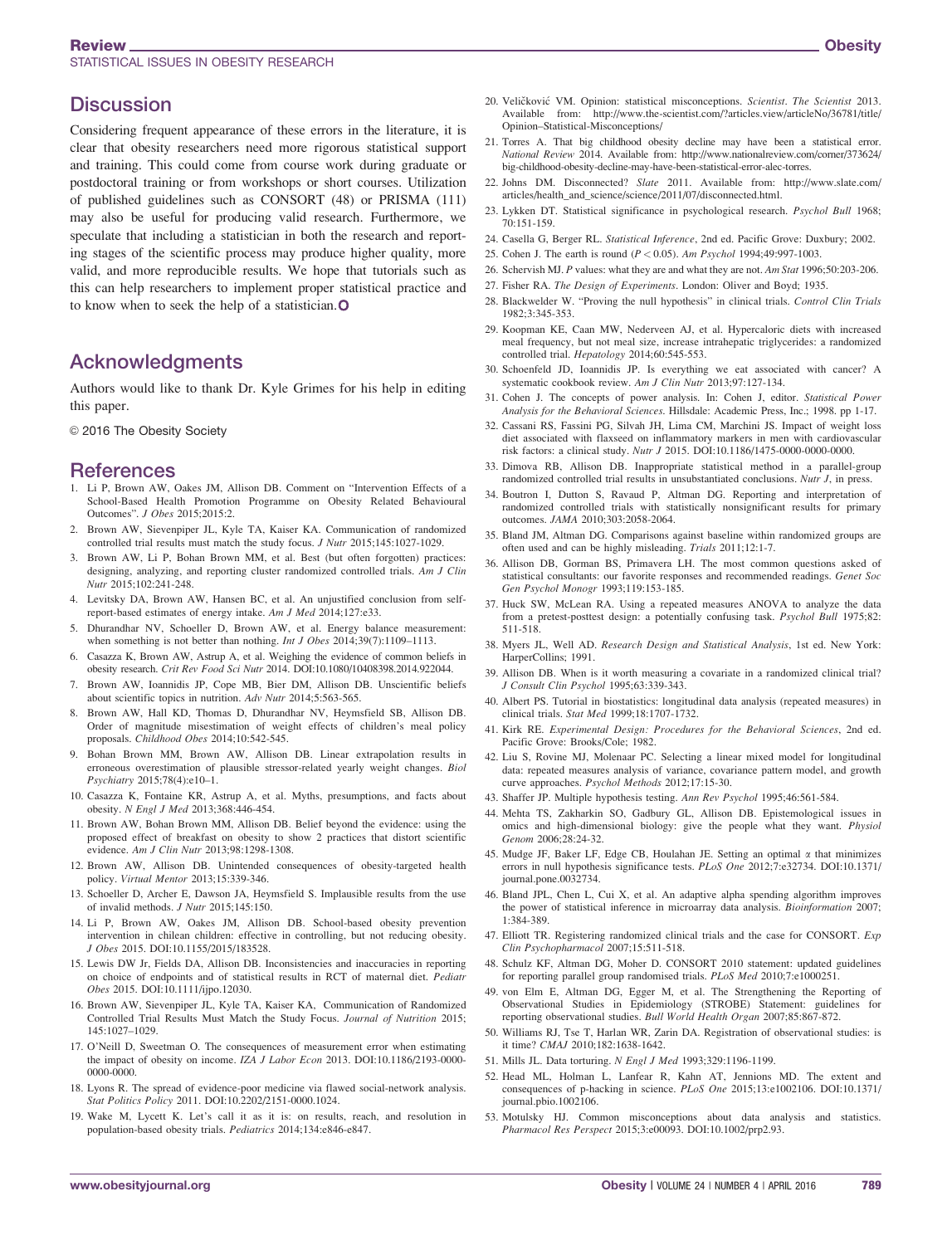### **Discussion**

Considering frequent appearance of these errors in the literature, it is clear that obesity researchers need more rigorous statistical support and training. This could come from course work during graduate or postdoctoral training or from workshops or short courses. Utilization of published guidelines such as CONSORT (48) or PRISMA (111) may also be useful for producing valid research. Furthermore, we speculate that including a statistician in both the research and reporting stages of the scientific process may produce higher quality, more valid, and more reproducible results. We hope that tutorials such as this can help researchers to implement proper statistical practice and to know when to seek the help of a statistician.O

#### Acknowledgments

Authors would like to thank Dr. Kyle Grimes for his help in editing this paper.

© 2016 The Obesity Society

#### References

- 1. Li P, Brown AW, Oakes JM, Allison DB. Comment on "Intervention Effects of a School-Based Health Promotion Programme on Obesity Related Behavioural Outcomes". J Obes 2015;2015:2.
- 2. Brown AW, Sievenpiper JL, Kyle TA, Kaiser KA. Communication of randomized controlled trial results must match the study focus. J Nutr 2015;145:1027-1029.
- 3. Brown AW, Li P, Bohan Brown MM, et al. Best (but often forgotten) practices: designing, analyzing, and reporting cluster randomized controlled trials. Am J Clin Nutr 2015;102:241-248.
- 4. Levitsky DA, Brown AW, Hansen BC, et al. An unjustified conclusion from selfreport-based estimates of energy intake. Am J Med 2014;127:e33.
- 5. Dhurandhar NV, Schoeller D, Brown AW, et al. Energy balance measurement: when something is not better than nothing. Int J Obes 2014;39(7):1109-1113.
- 6. Casazza K, Brown AW, Astrup A, et al. Weighing the evidence of common beliefs in obesity research. Crit Rev Food Sci Nutr 2014. DOI:[10.1080/10408398.2014.922044](info:doi/10.1080/10408398.2014.922044).
- 7. Brown AW, Ioannidis JP, Cope MB, Bier DM, Allison DB. Unscientific beliefs about scientific topics in nutrition. Adv Nutr 2014;5:563-565.
- 8. Brown AW, Hall KD, Thomas D, Dhurandhar NV, Heymsfield SB, Allison DB. Order of magnitude misestimation of weight effects of children's meal policy proposals. Childhood Obes 2014;10:542-545.
- 9. Bohan Brown MM, Brown AW, Allison DB. Linear extrapolation results in erroneous overestimation of plausible stressor-related yearly weight changes. Biol Psychiatry 2015;78(4):e10–1.
- 10. Casazza K, Fontaine KR, Astrup A, et al. Myths, presumptions, and facts about obesity. N Engl J Med 2013;368:446-454.
- 11. Brown AW, Bohan Brown MM, Allison DB. Belief beyond the evidence: using the proposed effect of breakfast on obesity to show 2 practices that distort scientific evidence. Am J Clin Nutr 2013;98:1298-1308.
- 12. Brown AW, Allison DB. Unintended consequences of obesity-targeted health policy. Virtual Mentor 2013;15:339-346.
- 13. Schoeller D, Archer E, Dawson JA, Heymsfield S. Implausible results from the use of invalid methods. J Nutr 2015;145:150.
- 14. Li P, Brown AW, Oakes JM, Allison DB. School-based obesity prevention intervention in chilean children: effective in controlling, but not reducing obesity. J Obes 2015. DOI:[10.1155/2015/183528.](info:doi/10.1155/2015/183528)
- 15. Lewis DW Jr, Fields DA, Allison DB. Inconsistencies and inaccuracies in reporting on choice of endpoints and of statistical results in RCT of maternal diet. Pediatr Obes 2015. DOI[:10.1111/ijpo.12030](info:doi/10.1111/ijpo.12030).
- 16. Brown AW, Sievenpiper JL, Kyle TA, Kaiser KA, Communication of Randomized Controlled Trial Results Must Match the Study Focus. Journal of Nutrition 2015; 145:1027–1029.
- 17. O'Neill D, Sweetman O. The consequences of measurement error when estimating the impact of obesity on income. IZA J Labor Econ 2013. DOI:[10.1186/2193-0000-](info:doi/10.1186/2193-0000-0000-0000) [0000-0000.](info:doi/10.1186/2193-0000-0000-0000)
- 18. Lyons R. The spread of evidence-poor medicine via flawed social-network analysis. Stat Politics Policy 2011. DOI[:10.2202/2151-0000.1024](info:doi/10.2202/2151-0000.1024).
- 19. Wake M, Lycett K. Let's call it as it is: on results, reach, and resolution in population-based obesity trials. Pediatrics 2014;134:e846-e847.
- 20. Veličković VM. Opinion: statistical misconceptions. Scientist. The Scientist 2013. Available from: [http://www.the-scientist.com/?articles.view/articleNo/36781/title/](http://www.the-scientist.com/?articles.view/articleNo/36781/title/Opinion--Statistical-Misconceptions/) [Opinion–Statistical-Misconceptions/](http://www.the-scientist.com/?articles.view/articleNo/36781/title/Opinion--Statistical-Misconceptions/)
- 21. Torres A. That big childhood obesity decline may have been a statistical error. National Review 2014. Available from: [http://www.nationalreview.com/corner/373624/](http://www.nationalreview.com/corner/373624/big-childhood-obesity-decline-may-have-been-statistical-error-alec-torres) [big-childhood-obesity-decline-may-have-been-statistical-error-alec-torres](http://www.nationalreview.com/corner/373624/big-childhood-obesity-decline-may-have-been-statistical-error-alec-torres).
- 22. Johns DM. Disconnected? Slate 2011. Available from: [http://www.slate.com/](http://www.slate.com/articles/health_and_science/science/2011/07/disconnected.html) [articles/health\\_and\\_science/science/2011/07/disconnected.html.](http://www.slate.com/articles/health_and_science/science/2011/07/disconnected.html)
- 23. Lykken DT. Statistical significance in psychological research. Psychol Bull 1968; 70:151-159.
- 24. Casella G, Berger RL. Statistical Inference, 2nd ed. Pacific Grove: Duxbury; 2002.
- 25. Cohen J. The earth is round ( $P < 0.05$ ). Am Psychol 1994;49:997-1003.
- 26. Schervish MJ. P values: what they are and what they are not. Am Stat 1996;50:203-206.
- 27. Fisher RA. The Design of Experiments. London: Oliver and Boyd; 1935.
- 28. Blackwelder W. "Proving the null hypothesis" in clinical trials. Control Clin Trials 1982;3:345-353.
- 29. Koopman KE, Caan MW, Nederveen AJ, et al. Hypercaloric diets with increased meal frequency, but not meal size, increase intrahepatic triglycerides: a randomized controlled trial. Hepatology 2014;60:545-553.
- 30. Schoenfeld JD, Ioannidis JP. Is everything we eat associated with cancer? A systematic cookbook review. Am J Clin Nutr 2013;97:127-134.
- 31. Cohen J. The concepts of power analysis. In: Cohen J, editor. Statistical Power Analysis for the Behavioral Sciences. Hillsdale: Academic Press, Inc.; 1998. pp 1-17.
- 32. Cassani RS, Fassini PG, Silvah JH, Lima CM, Marchini JS. Impact of weight loss diet associated with flaxseed on inflammatory markers in men with cardiovascular risk factors: a clinical study. Nutr J 2015. DOI[:10.1186/1475-0000-0000-0000](info:doi/10.1186/1475-0000-0000-0000).
- 33. Dimova RB, Allison DB. Inappropriate statistical method in a parallel-group randomized controlled trial results in unsubstantiated conclusions. Nutr J, in press.
- 34. Boutron I, Dutton S, Ravaud P, Altman DG. Reporting and interpretation of randomized controlled trials with statistically nonsignificant results for primary outcomes. JAMA 2010;303:2058-2064.
- 35. Bland JM, Altman DG. Comparisons against baseline within randomized groups are often used and can be highly misleading. Trials 2011;12:1-7.
- 36. Allison DB, Gorman BS, Primavera LH. The most common questions asked of statistical consultants: our favorite responses and recommended readings. Genet Soc Gen Psychol Monogr 1993;119:153-185.
- 37. Huck SW, McLean RA. Using a repeated measures ANOVA to analyze the data from a pretest-posttest design: a potentially confusing task. Psychol Bull 1975;82: 511-518.
- 38. Myers JL, Well AD. Research Design and Statistical Analysis, 1st ed. New York: HarperCollins; 1991.
- 39. Allison DB. When is it worth measuring a covariate in a randomized clinical trial? J Consult Clin Psychol 1995;63:339-343.
- 40. Albert PS. Tutorial in biostatistics: longitudinal data analysis (repeated measures) in clinical trials. Stat Med 1999;18:1707-1732.
- 41. Kirk RE. Experimental Design: Procedures for the Behavioral Sciences, 2nd ed. Pacific Grove: Brooks/Cole; 1982.
- 42. Liu S, Rovine MJ, Molenaar PC. Selecting a linear mixed model for longitudinal data: repeated measures analysis of variance, covariance pattern model, and growth curve approaches. Psychol Methods 2012;17:15-30.
- 43. Shaffer JP. Multiple hypothesis testing. Ann Rev Psychol 1995;46:561-584.
- 44. Mehta TS, Zakharkin SO, Gadbury GL, Allison DB. Epistemological issues in omics and high-dimensional biology: give the people what they want. Physiol Genom 2006;28:24-32.
- 45. Mudge JF, Baker LF, Edge CB, Houlahan JE. Setting an optimal  $\alpha$  that minimizes errors in null hypothesis significance tests. PLoS One 2012;7:e32734. DOI[:10.1371/](info:doi/10.1371/journal.pone.0032734) [journal.pone.0032734.](info:doi/10.1371/journal.pone.0032734)
- 46. Bland JPL, Chen L, Cui X, et al. An adaptive alpha spending algorithm improves the power of statistical inference in microarray data analysis. Bioinformation 2007; 1:384-389.
- 47. Elliott TR. Registering randomized clinical trials and the case for CONSORT. Exp Clin Psychopharmacol 2007;15:511-518.
- 48. Schulz KF, Altman DG, Moher D. CONSORT 2010 statement: updated guidelines for reporting parallel group randomised trials. PLoS Med 2010;7:e1000251.
- 49. von Elm E, Altman DG, Egger M, et al. The Strengthening the Reporting of Observational Studies in Epidemiology (STROBE) Statement: guidelines for reporting observational studies. Bull World Health Organ 2007;85:867-872.
- 50. Williams RJ, Tse T, Harlan WR, Zarin DA. Registration of observational studies: is it time? CMAJ 2010;182:1638-1642.
- 51. Mills JL. Data torturing. N Engl J Med 1993;329:1196-1199.
- 52. Head ML, Holman L, Lanfear R, Kahn AT, Jennions MD. The extent and consequences of p-hacking in science. PLoS One 2015;13:e1002106. DOI[:10.1371/](info:doi/10.1371/journal.pbio.1002106) [journal.pbio.1002106.](info:doi/10.1371/journal.pbio.1002106)
- 53. Motulsky HJ. Common misconceptions about data analysis and statistics. Pharmacol Res Perspect 2015;3:e00093. DOI:[10.1002/prp2.93](info:doi/10.1002/prp2.93).